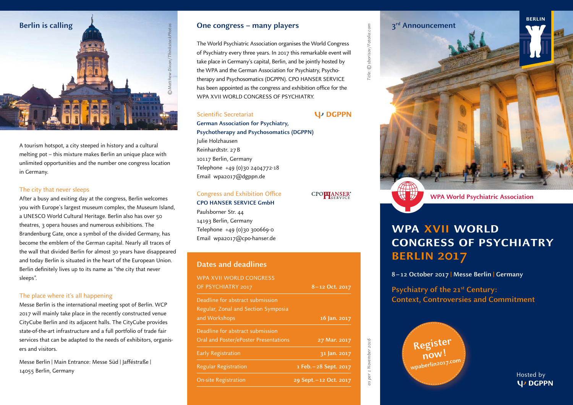

A tourism hotspot, a city steeped in history and a cultural melting pot – this mixture makes Berlin an unique place with unlimited opportunities and the number one congress location in Germany.

## The city that never sleeps

After a busy and exiting day at the congress, Berlin welcomes you with Europe's largest museum complex, the Museum Island, a UNESCO World Cultural Heritage. Berlin also has over 50 theatres, 3 opera houses and numerous exhibitions. The Brandenburg Gate, once a symbol of the divided Germany, has become the emblem of the German capital. Nearly all traces of the wall that divided Berlin for almost 30 years have disappeared and today Berlin is situated in the heart of the European Union. Berlin definitely lives up to its name as "the city that never sleeps".

## The place where it's all happening

Messe Berlin is the international meeting spot of Berlin. WCP 2017 will mainly take place in the recently constructed venue CityCube Berlin and its adjacent halls. The CityCube provides state-of-the-art infrastructure and a full portfolio of trade fair services that can be adapted to the needs of exhibitors, organisers and visitors.

Messe Berlin | Main Entrance: Messe Süd | Jafféstraße | 14055 Berlin, Germany

## **One congress – many players**

The World Psychiatric Association organises the World Congress of Psychiatry every three years. In 2017 this remarkable event will take place in Germany's capital, Berlin, and be jointly hosted by the WPA and the German Association for Psychiatry, Psychotherapy and Psychosomatics (DGPPN). CPO HANSER SERVICE has been appointed as the congress and exhibition office for the WPA XVII WORLD CONGRESS OF PSYCHIATRY.

## Scientific Secretariat

**German Association for Psychiatry, Psychotherapy and Psychosomatics (DGPPN)** Julie Holzhausen Reinhardtstr. 27 B 10117 Berlin, Germany Telephone +49 (0)30 2404772-18 Email wpa2017@dgppn.de

## Congress and Exhibition Office

**CPO HANSER SERVICE GmbH** Paulsborner Str. 44 14193 Berlin, Germany Telephone  $+49$  (0)30 300669-0 Email wpa2017@cpo-hanser.de

# **Dates and deadlines**

| 8-12 Oct. 2017            |
|---------------------------|
|                           |
|                           |
| 16 Jan. 2017              |
|                           |
| 31 Jan. 2017              |
| $1$ Feb. $-28$ Sept. 2017 |
| 29 Sept. - 12 Oct. 2017   |
|                           |

Title: © sborisov/Fotolia.com Title: © sborisov / Fotolia.com

**U<sub>D</sub>** DGPPN

CPO**PLANSER**®

as per 1 November 2016

per 1 November 2016

 $\frac{1}{2}$ 

## **3rd Announcement**

**WPA World Psychiatric Association**

## **wpa xvii world congress of psychiatry berlin 2017**

**8 – 12 October 2017 | Messe Berlin | Germany**

**Psychiatry of the 21st Century: Context, Controversies and Commitment**



Hosted by **U** DGPPN

**berlin**